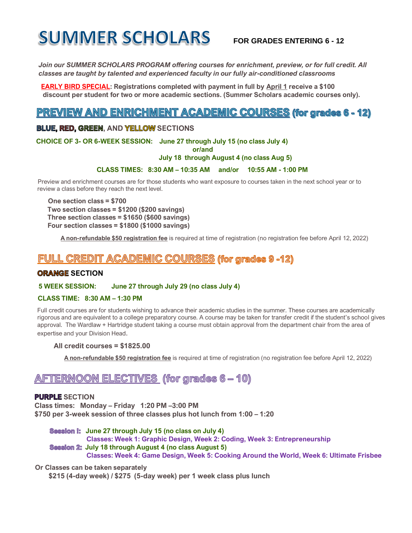# **SUMMER SCHOLARS**

### **FOR GRADES ENTERING 6 - 12**

*Join our SUMMER SCHOLARS PROGRAM offering courses for enrichment, preview, or for full credit. All classes are taught by talented and experienced faculty in our fully air-conditioned classrooms* 

 **EARLY BIRD SPECIAL: Registrations completed with payment in full by April 1 receive a \$100 discount per student for two or more academic sections. (Summer Scholars academic courses only).** 

# **PREVIEW AND ENRICHMENT ACADEMIC COURSES (for grades 6 - 12)**

#### **BLUE, RED, GREEN**, AND YELLOW SECTIONS

 **CHOICE OF 3- OR 6-WEEK SESSION: June 27 through July 15 (no class July 4)** 

 **or/and**

#### **July 18 through August 4 (no class Aug 5)**

#### **CLASS TIMES: 8:30 AM – 10:35 AM and/or 10:55 AM - 1:00 PM**

 Preview and enrichment courses are for those students who want exposure to courses taken in the next school year or to review a class before they reach the next level.

 **One section class = \$700 Two section classes = \$1200 (\$200 savings) Three section classes = \$1650 (\$600 savings) Four section classes = \$1800 (\$1000 savings)**

 **A non-refundable \$50 registration fee** is required at time of registration (no registration fee before April 12, 2022)

### **FULL CREDIT ACADEMIC COURSES (for grades 9 -12)**

#### **ORANGE SECTION**

#### **5 WEEK SESSION: June 27 through July 29 (no class July 4)**

#### **CLASS TIME: 8:30 AM – 1:30 PM**

 Full credit courses are for students wishing to advance their academic studies in the summer. These courses are academically rigorous and are equivalent to a college preparatory course. A course may be taken for transfer credit if the student's school gives approval. The Wardlaw + Hartridge student taking a course must obtain approval from the department chair from the area of expertise and your Division Head.

#### **All credit courses = \$1825.00**

 **A non-refundable \$50 registration fee** is required at time of registration (no registration fee before April 12, 2022)

## **AFTERNOON ELECTIVES (for grades 6 - 10)**

#### **PURPLE SECTION**

 **Class times: Monday – Friday 1:20 PM –3:00 PM \$750 per 3-week session of three classes plus hot lunch from 1:00 – 1:20**

 **Session I:** June 27 through July 15 (no class on July 4) **Classes: Week 1: Graphic Design, Week 2: Coding, Week 3: Entrepreneurship Session 2: July 18 through August 4 (no class August 5) Classes: Week 4: Game Design, Week 5: Cooking Around the World, Week 6: Ultimate Frisbee**

#### **Or Classes can be taken separately**

 **\$215 (4-day week) / \$275 (5-day week) per 1 week class plus lunch**